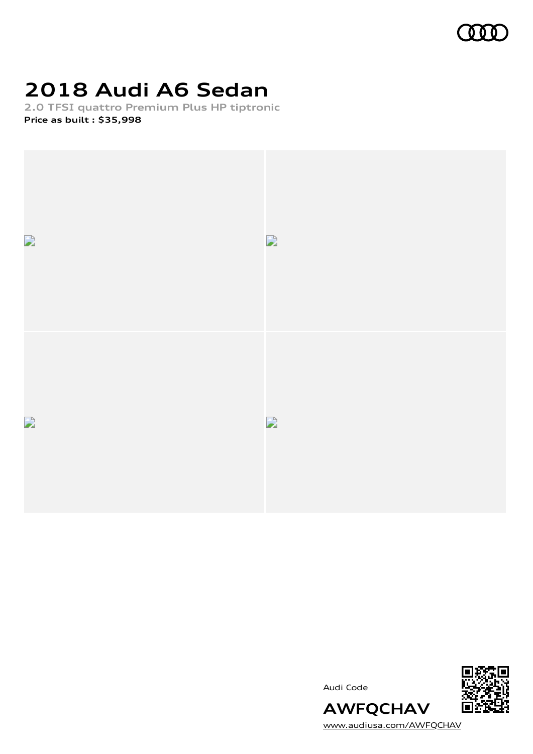

# **2018 Audi A6 Sedan**

**2.0 TFSI quattro Premium Plus HP tiptronic Price as built [:](#page-10-0) \$35,998**



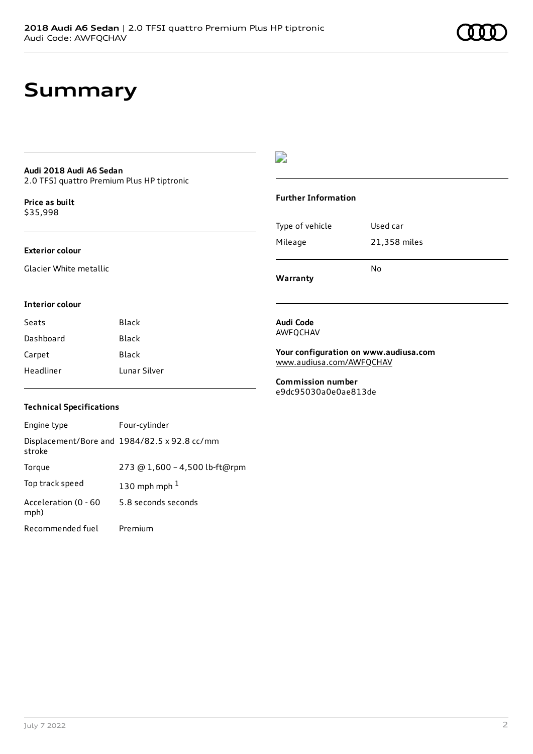### **Summary**

#### **Audi 2018 Audi A6 Sedan** 2.0 TFSI quattro Premium Plus HP tiptronic

**Price as buil[t](#page-10-0)** \$35,998

#### **Exterior colour**

Glacier White metallic

### $\overline{\phantom{a}}$

#### **Further Information**

|                 | N٥           |
|-----------------|--------------|
| Mileage         | 21,358 miles |
| Type of vehicle | Used car     |

**Warranty**

#### **Interior colour**

| Seats     | <b>Black</b> |
|-----------|--------------|
| Dashboard | <b>Black</b> |
| Carpet    | Black        |
| Headliner | Lunar Silver |

#### **Audi Code** AWFQCHAV

**Your configuration on www.audiusa.com**

[www.audiusa.com/AWFQCHAV](https://www.audiusa.com/AWFQCHAV)

**Commission number** e9dc95030a0e0ae813de

### **Technical Specifications**

| Engine type                  | Four-cylinder                                |
|------------------------------|----------------------------------------------|
| stroke                       | Displacement/Bore and 1984/82.5 x 92.8 cc/mm |
| Torque                       | 273 @ 1,600 - 4,500 lb-ft@rpm                |
| Top track speed              | 130 mph mph $1$                              |
| Acceleration (0 - 60<br>mph) | 5.8 seconds seconds                          |
| Recommended fuel             | Premium                                      |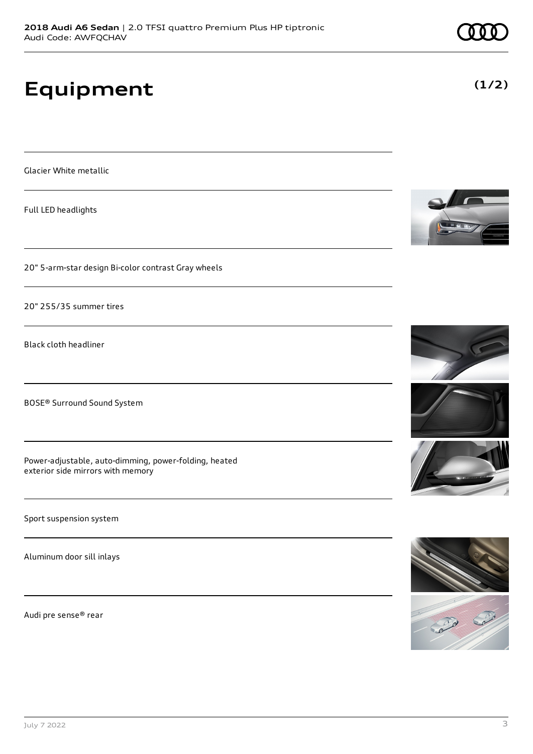# **Equipment**

Glacier White metallic

Full LED headlights

20" 5-arm-star design Bi-color contrast Gray wheels

20" 255/35 summer tires

Black cloth headliner

BOSE® Surround Sound System

Power-adjustable, auto-dimming, power-folding, heated exterior side mirrors with memory

Sport suspension system

Aluminum door sill inlays

Audi pre sense® rear















**(1/2)**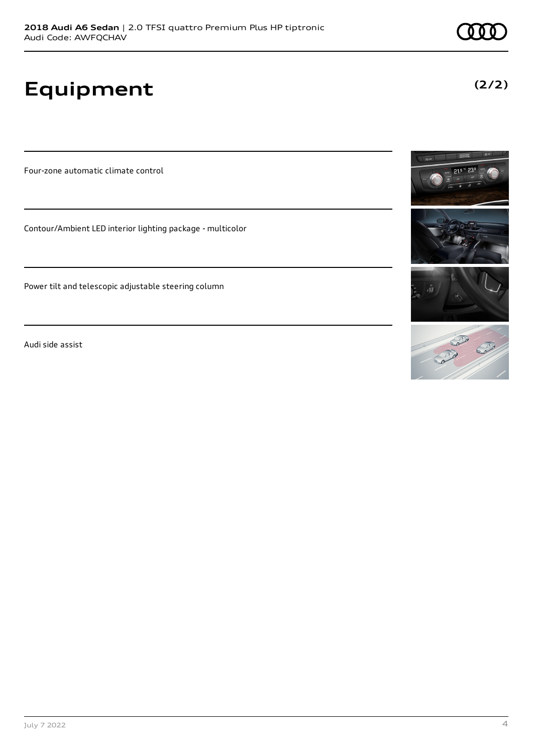# **Equipment**

Four-zone automatic climate control

Contour/Ambient LED interior lighting package - multicolor

Power tilt and telescopic adjustable steering column

Audi side assist





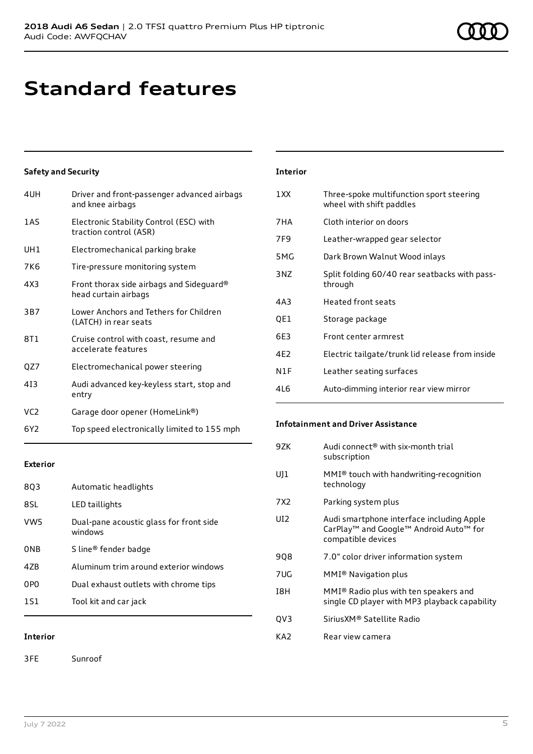# **Standard features**

### **Safety and Security**

| 4UH             | Driver and front-passenger advanced airbags<br>and knee airbags   |
|-----------------|-------------------------------------------------------------------|
| 1AS             | Electronic Stability Control (ESC) with<br>traction control (ASR) |
| UH1             | Electromechanical parking brake                                   |
| 7K <sub>6</sub> | Tire-pressure monitoring system                                   |
| 4X3             | Front thorax side airbags and Sideguard®<br>head curtain airbags  |
| 3B7             | Lower Anchors and Tethers for Children<br>(LATCH) in rear seats   |
| 8T1             | Cruise control with coast, resume and<br>accelerate features      |
| QZ7             | Electromechanical power steering                                  |
| 413             | Audi advanced key-keyless start, stop and<br>entry                |
| VC <sub>2</sub> | Garage door opener (HomeLink®)                                    |
| 6Y2             | Top speed electronically limited to 155 mph                       |

### **Exterior**

| 8Q3             | Automatic headlights                               |
|-----------------|----------------------------------------------------|
| 8SL             | LED taillights                                     |
| VW5             | Dual-pane acoustic glass for front side<br>windows |
| 0NB             | S line <sup>®</sup> fender badge                   |
| 47 <sub>B</sub> | Aluminum trim around exterior windows              |
| 0PO             | Dual exhaust outlets with chrome tips              |
| 151             | Tool kit and car jack                              |

### **Interior**

3FE Sunroof

| 1XX | Three-spoke multifunction sport steering<br>wheel with shift paddles |
|-----|----------------------------------------------------------------------|
| 7HA | Cloth interior on doors                                              |
| 7F9 | Leather-wrapped gear selector                                        |
| 5MG | Dark Brown Walnut Wood inlays                                        |
| 3NZ | Split folding 60/40 rear seatbacks with pass-<br>through             |
| 4A3 | <b>Heated front seats</b>                                            |
| QE1 | Storage package                                                      |
| 6E3 | Front center armrest                                                 |
| 4F2 | Electric tailgate/trunk lid release from inside                      |
| N1F | Leather seating surfaces                                             |
| 4L6 | Auto-dimming interior rear view mirror                               |

### **Infotainment and Driver Assistance**

| 9ZK   | Audi connect <sup>®</sup> with six-month trial<br>subscription                                                        |
|-------|-----------------------------------------------------------------------------------------------------------------------|
| UJ1   | $MMI®$ touch with handwriting-recognition<br>technology                                                               |
| 7 X 2 | Parking system plus                                                                                                   |
| UI2   | Audi smartphone interface including Apple<br>CarPlay <sup>™</sup> and Google™ Android Auto™ for<br>compatible devices |
| 908   | 7.0" color driver information system                                                                                  |
| 7UG   | MMI® Navigation plus                                                                                                  |
| I8H   | MMI® Radio plus with ten speakers and<br>single CD player with MP3 playback capability                                |
| QV3   | Sirius XM® Satellite Radio                                                                                            |
| KA2   | Rear view camera                                                                                                      |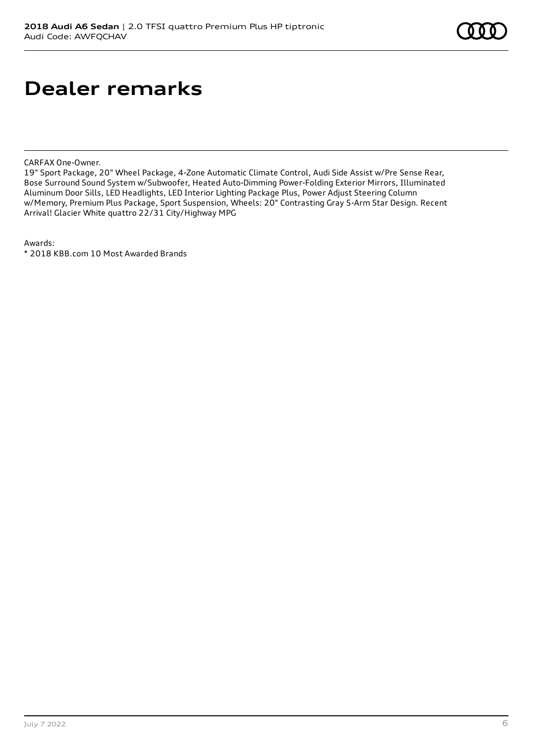### **Dealer remarks**

CARFAX One-Owner.

19" Sport Package, 20" Wheel Package, 4-Zone Automatic Climate Control, Audi Side Assist w/Pre Sense Rear, Bose Surround Sound System w/Subwoofer, Heated Auto-Dimming Power-Folding Exterior Mirrors, Illuminated Aluminum Door Sills, LED Headlights, LED Interior Lighting Package Plus, Power Adjust Steering Column w/Memory, Premium Plus Package, Sport Suspension, Wheels: 20" Contrasting Gray 5-Arm Star Design. Recent Arrival! Glacier White quattro 22/31 City/Highway MPG

Awards:

\* 2018 KBB.com 10 Most Awarded Brands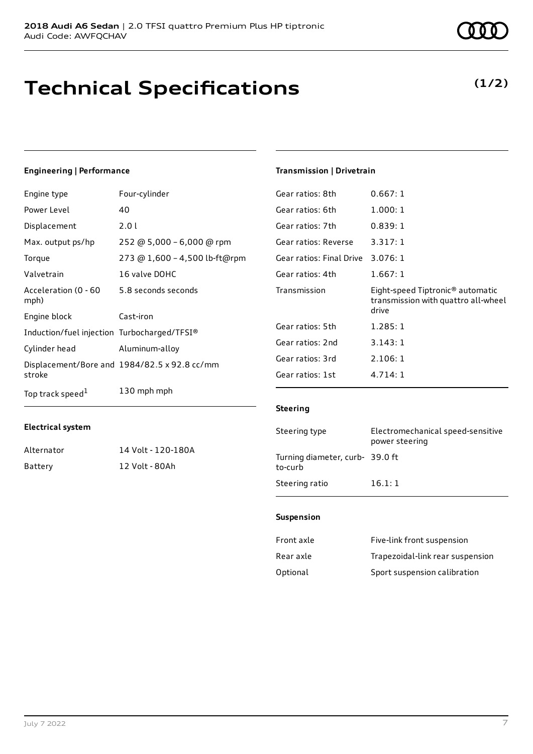# **Technical Specifications**

### **Engineering | Performance**

| Engine type                                 | Four-cylinder                                |
|---------------------------------------------|----------------------------------------------|
| Power Level                                 | 40                                           |
| Displacement                                | 2.0 l                                        |
| Max. output ps/hp                           | 252 @ 5,000 - 6,000 @ rpm                    |
| Torque                                      | 273 @ 1,600 - 4,500 lb-ft@rpm                |
| Valvetrain                                  | 16 valve DOHC                                |
| Acceleration (0 - 60<br>mph)                | 5.8 seconds seconds                          |
| Engine block                                | Cast-iron                                    |
| Induction/fuel injection Turbocharged/TFSI® |                                              |
| Cylinder head                               | Aluminum-alloy                               |
| stroke                                      | Displacement/Bore and 1984/82.5 x 92.8 cc/mm |
| Top track speed <sup>1</sup>                | 130 mph mph                                  |

### **Transmission | Drivetrain**

| Gear ratios: 8th         | 0.667:1                                                                                      |
|--------------------------|----------------------------------------------------------------------------------------------|
| Gear ratios: 6th         | 1.000:1                                                                                      |
| Gear ratios: 7th         | 0.839:1                                                                                      |
| Gear ratios: Reverse     | 3.317:1                                                                                      |
| Gear ratios: Final Drive | 3.076:1                                                                                      |
| Gear ratios: 4th         | 1.667:1                                                                                      |
|                          |                                                                                              |
| Transmission             | Eight-speed Tiptronic <sup>®</sup> automatic<br>transmission with quattro all-wheel<br>drive |
| Gear ratios: 5th         | 1.285:1                                                                                      |
| Gear ratios: 2nd         | 3.143:1                                                                                      |
| Gear ratios: 3rd         | 2.106:1                                                                                      |
| Gear ratios: 1st         | 4.714:1                                                                                      |

### **Electrical system**

| Alternator | 14 Volt - 120-180A |
|------------|--------------------|
| Battery    | 12 Volt - 80Ah     |

#### **Steering**

| Steering type                             | Electromechanical speed-sensitive<br>power steering |
|-------------------------------------------|-----------------------------------------------------|
| Turning diameter, curb-39.0 ft<br>to-curb |                                                     |
| Steering ratio                            | 16.1:1                                              |

#### **Suspension**

| Front axle | Five-link front suspension       |
|------------|----------------------------------|
| Rear axle  | Trapezoidal-link rear suspension |
| Optional   | Sport suspension calibration     |

**(1/2)**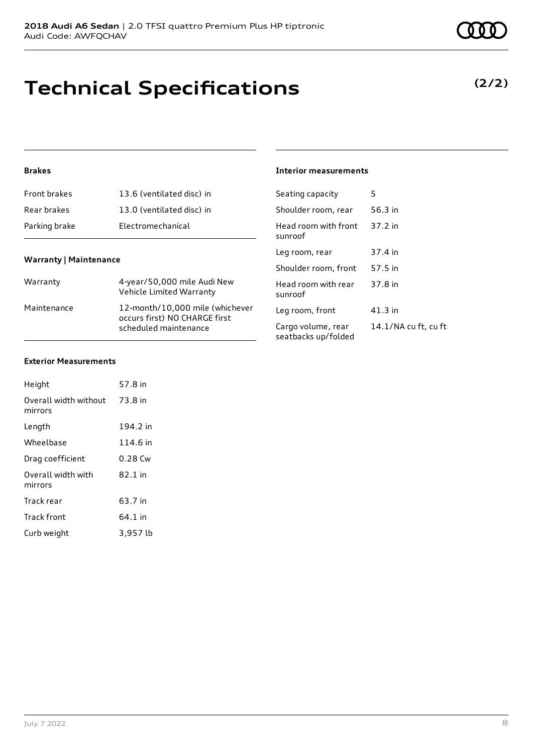# **Technical Specifications**

July 7 2022 8

| Warranty                         | 4-year/50,000 mile Audi New<br>Vehicle Limited Warranty                                   |
|----------------------------------|-------------------------------------------------------------------------------------------|
| Maintenance                      | 12-month/10,000 mile (whichever<br>occurs first) NO CHARGE first<br>scheduled maintenance |
|                                  |                                                                                           |
| <b>Exterior Measurements</b>     |                                                                                           |
| Height                           | 57.8 in                                                                                   |
| Overall width without<br>mirrors | 73.8 in                                                                                   |

Front brakes 13.6 (ventilated disc) in Rear brakes 13.0 (ventilated disc) in

Parking brake **Electromechanical** 

#### **Interior measurements**

| Seating capacity                          | 5                    |
|-------------------------------------------|----------------------|
| Shoulder room, rear                       | 56.3 in              |
| Head room with front<br>sunroof           | 37.2 in              |
| Leg room, rear                            | 37.4 in              |
| Shoulder room, front                      | 57.5 in              |
| Head room with rear<br>sunroof            | 37.8 in              |
| Leg room, front                           | 41.3 in              |
| Cargo volume, rear<br>seatbacks up/folded | 14.1/NA cu ft, cu ft |

**Warranty | Maintenance**

**Brakes**

| Length                        | 194.2 in |
|-------------------------------|----------|
| Wheelbase                     | 114.6 in |
| Drag coefficient              | 0.28 Cw  |
| Overall width with<br>mirrors | 82.1 in  |
| Track rear                    | 63.7 in  |
| <b>Track front</b>            | 64.1 in  |
| Curb weight                   | 3,957 lb |

### **(2/2)**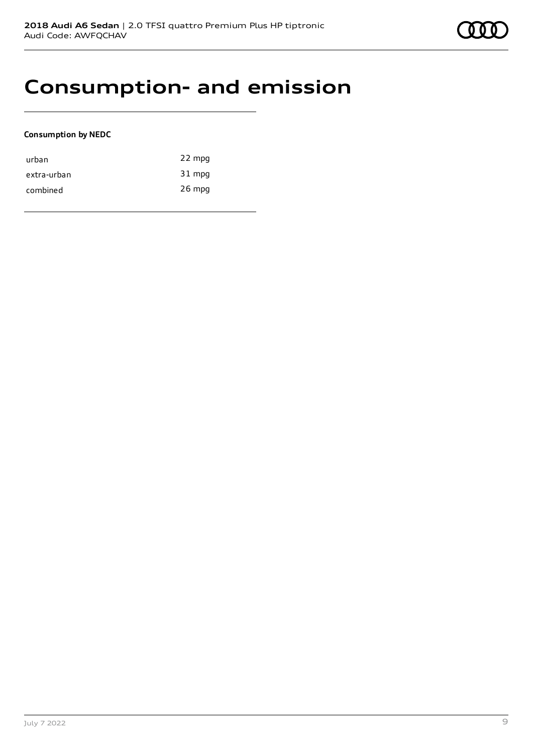### **Consumption- and emission**

### **Consumption by NEDC**

| urban       | 22 mpg   |
|-------------|----------|
| extra-urban | 31 mpg   |
| combined    | $26$ mpg |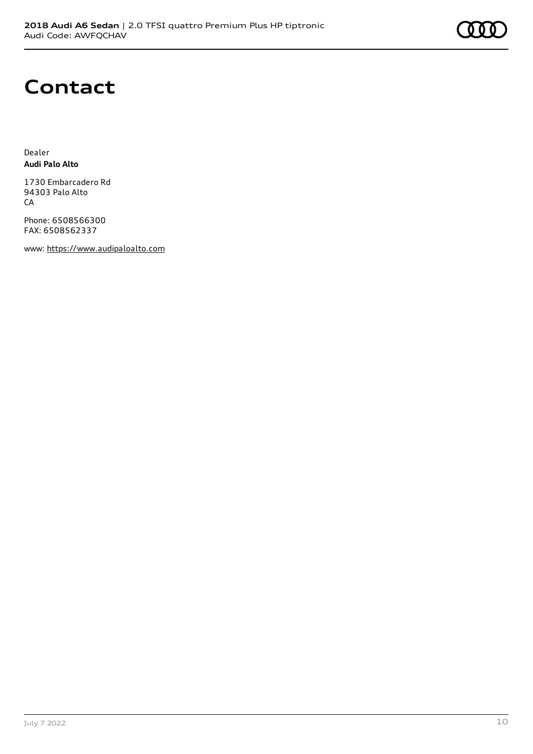### **Contact**

Dealer **Audi Palo Alto**

1730 Embarcadero Rd 94303 Palo Alto **CA** 

Phone: 6508566300 FAX: 6508562337

www: [https://www.audipaloalto.com](https://www.audipaloalto.com/)